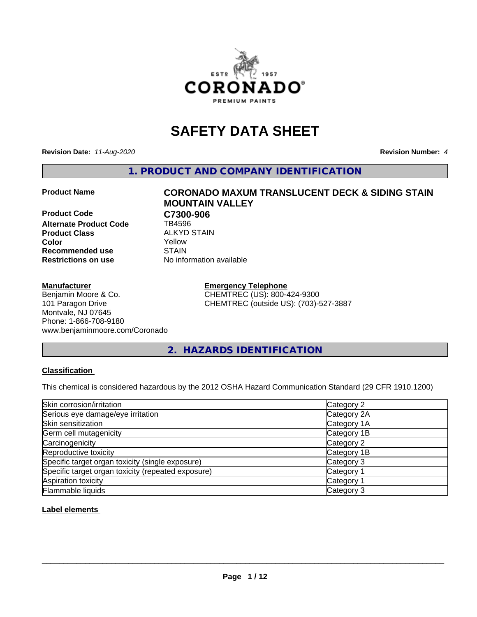

## **SAFETY DATA SHEET**

**Revision Date:** *11-Aug-2020* **Revision Number:** *4*

**1. PRODUCT AND COMPANY IDENTIFICATION**

**Product Code C7300-906**<br>Alternate Product Code **CD** TB4596 **Alternate Product Code Product Class** ALKYD STAIN<br> **Color** Yellow **Recommended use STAIN Restrictions on use** No information available

#### **Manufacturer**

Benjamin Moore & Co. 101 Paragon Drive Montvale, NJ 07645 Phone: 1-866-708-9180 www.benjaminmoore.com/Coronado

# **Product Name CORONADO MAXUM TRANSLUCENT DECK & SIDING STAIN MOUNTAIN VALLEY Color** Yellow

**Emergency Telephone** CHEMTREC (US): 800-424-9300 CHEMTREC (outside US): (703)-527-3887

**2. HAZARDS IDENTIFICATION**

#### **Classification**

This chemical is considered hazardous by the 2012 OSHA Hazard Communication Standard (29 CFR 1910.1200)

| Skin corrosion/irritation                          | Category 2            |
|----------------------------------------------------|-----------------------|
| Serious eye damage/eye irritation                  | Category 2A           |
| Skin sensitization                                 | Category 1A           |
| Germ cell mutagenicity                             | Category 1B           |
| Carcinogenicity                                    | Category 2            |
| Reproductive toxicity                              | Category 1B           |
| Specific target organ toxicity (single exposure)   | Category 3            |
| Specific target organ toxicity (repeated exposure) | Category <sup>-</sup> |
| Aspiration toxicity                                | Category 1            |
| Flammable liquids                                  | Category 3            |

**Label elements**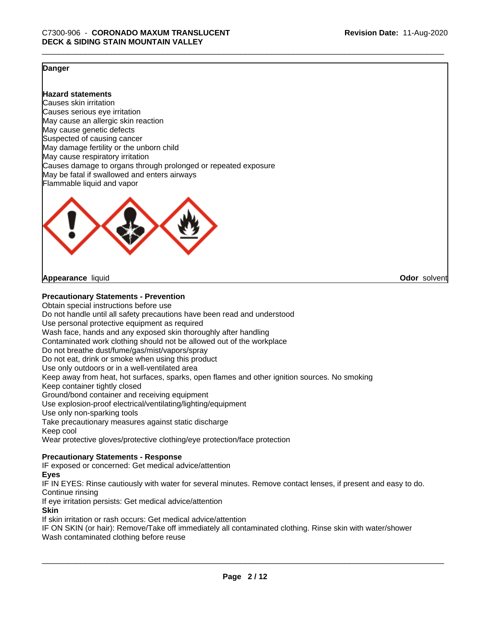**Odor** solvent

#### **Danger**

**Hazard statements**

Causes skin irritation Causes serious eye irritation May cause an allergic skin reaction May cause genetic defects Suspected of causing cancer May damage fertility or the unborn child May cause respiratory irritation Causes damage to organs through prolonged or repeated exposure May be fatal if swallowed and enters airways Flammable liquid and vapor



**Appearance** liquid

#### **Precautionary Statements - Prevention**

Obtain special instructions before use Do not handle until all safety precautions have been read and understood Use personal protective equipment as required Wash face, hands and any exposed skin thoroughly after handling Contaminated work clothing should not be allowed out of the workplace Do not breathe dust/fume/gas/mist/vapors/spray Do not eat, drink or smoke when using this product Use only outdoors or in a well-ventilated area Keep away from heat, hot surfaces, sparks, open flames and other ignition sources. No smoking Keep container tightly closed Ground/bond container and receiving equipment Use explosion-proof electrical/ventilating/lighting/equipment Use only non-sparking tools Take precautionary measures against static discharge Keep cool Wear protective gloves/protective clothing/eye protection/face protection

#### **Precautionary Statements - Response**

IF exposed or concerned: Get medical advice/attention

#### **Eyes**

IF IN EYES: Rinse cautiously with water for several minutes. Remove contact lenses, if present and easy to do. Continue rinsing

If eye irritation persists: Get medical advice/attention

#### **Skin**

If skin irritation or rash occurs: Get medical advice/attention

IF ON SKIN (or hair): Remove/Take off immediately all contaminated clothing. Rinse skin with water/shower Wash contaminated clothing before reuse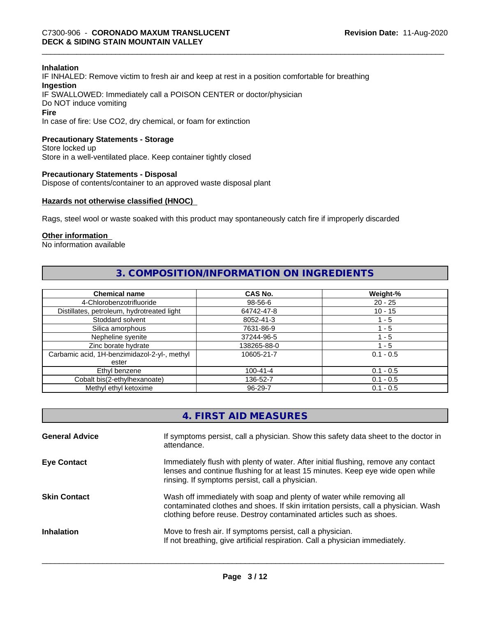#### **Inhalation**

IF INHALED: Remove victim to fresh air and keep at rest in a position comfortable for breathing **Ingestion** IF SWALLOWED: Immediately call a POISON CENTER or doctor/physician Do NOT induce vomiting **Fire**

In case of fire: Use CO2, dry chemical, or foam for extinction

#### **Precautionary Statements - Storage**

Store locked up Store in a well-ventilated place. Keep container tightly closed

#### **Precautionary Statements - Disposal**

Dispose of contents/container to an approved waste disposal plant

#### **Hazards not otherwise classified (HNOC)**

Rags, steel wool or waste soaked with this product may spontaneously catch fire if improperly discarded

#### **Other information**

No information available

#### **3. COMPOSITION/INFORMATION ON INGREDIENTS**

| <b>Chemical name</b>                         | CAS No.        | Weight-%    |
|----------------------------------------------|----------------|-------------|
| 4-Chlorobenzotrifluoride                     | 98-56-6        | $20 - 25$   |
| Distillates, petroleum, hydrotreated light   | 64742-47-8     | $10 - 15$   |
| Stoddard solvent                             | 8052-41-3      | 1 - 5       |
| Silica amorphous                             | 7631-86-9      | 1 - 5       |
| Nepheline syenite                            | 37244-96-5     | ' - 5       |
| Zinc borate hydrate                          | 138265-88-0    | 1 - 5       |
| Carbamic acid, 1H-benzimidazol-2-yl-, methyl | 10605-21-7     | $0.1 - 0.5$ |
| ester                                        |                |             |
| Ethyl benzene                                | $100 - 41 - 4$ | $0.1 - 0.5$ |
| Cobalt bis(2-ethylhexanoate)                 | 136-52-7       | $0.1 - 0.5$ |
| Methyl ethyl ketoxime                        | 96-29-7        | $0.1 - 0.5$ |

| 4. FIRST AID MEASURES |  |
|-----------------------|--|
|-----------------------|--|

| <b>General Advice</b> | If symptoms persist, call a physician. Show this safety data sheet to the doctor in<br>attendance.                                                                                                                                  |
|-----------------------|-------------------------------------------------------------------------------------------------------------------------------------------------------------------------------------------------------------------------------------|
| <b>Eye Contact</b>    | Immediately flush with plenty of water. After initial flushing, remove any contact<br>lenses and continue flushing for at least 15 minutes. Keep eye wide open while<br>rinsing. If symptoms persist, call a physician.             |
| <b>Skin Contact</b>   | Wash off immediately with soap and plenty of water while removing all<br>contaminated clothes and shoes. If skin irritation persists, call a physician. Wash<br>clothing before reuse. Destroy contaminated articles such as shoes. |
| <b>Inhalation</b>     | Move to fresh air. If symptoms persist, call a physician.<br>If not breathing, give artificial respiration. Call a physician immediately.                                                                                           |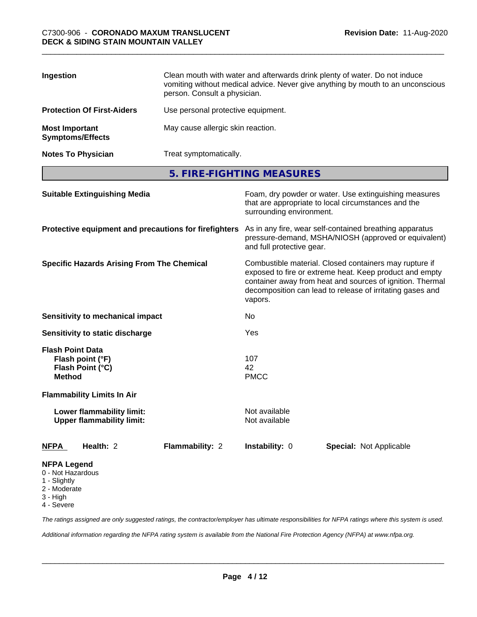| Ingestion                                        | Clean mouth with water and afterwards drink plenty of water. Do not induce<br>vomiting without medical advice. Never give anything by mouth to an unconscious<br>person. Consult a physician. |
|--------------------------------------------------|-----------------------------------------------------------------------------------------------------------------------------------------------------------------------------------------------|
| <b>Protection Of First-Aiders</b>                | Use personal protective equipment.                                                                                                                                                            |
| <b>Most Important</b><br><b>Symptoms/Effects</b> | May cause allergic skin reaction.                                                                                                                                                             |
| <b>Notes To Physician</b>                        | Treat symptomatically.                                                                                                                                                                        |

**5. FIRE-FIGHTING MEASURES**

| <b>Suitable Extinguishing Media</b>                                                 | Foam, dry powder or water. Use extinguishing measures<br>that are appropriate to local circumstances and the<br>surrounding environment.<br>As in any fire, wear self-contained breathing apparatus<br>pressure-demand, MSHA/NIOSH (approved or equivalent)<br>and full protective gear.<br>Combustible material. Closed containers may rupture if<br>exposed to fire or extreme heat. Keep product and empty<br>container away from heat and sources of ignition. Thermal<br>decomposition can lead to release of irritating gases and<br>vapors. |  |
|-------------------------------------------------------------------------------------|----------------------------------------------------------------------------------------------------------------------------------------------------------------------------------------------------------------------------------------------------------------------------------------------------------------------------------------------------------------------------------------------------------------------------------------------------------------------------------------------------------------------------------------------------|--|
| Protective equipment and precautions for firefighters                               |                                                                                                                                                                                                                                                                                                                                                                                                                                                                                                                                                    |  |
| <b>Specific Hazards Arising From The Chemical</b>                                   |                                                                                                                                                                                                                                                                                                                                                                                                                                                                                                                                                    |  |
| <b>Sensitivity to mechanical impact</b>                                             | No                                                                                                                                                                                                                                                                                                                                                                                                                                                                                                                                                 |  |
| Sensitivity to static discharge                                                     | Yes                                                                                                                                                                                                                                                                                                                                                                                                                                                                                                                                                |  |
| <b>Flash Point Data</b><br>Flash point (°F)<br>Flash Point (°C)<br><b>Method</b>    | 107<br>42<br><b>PMCC</b>                                                                                                                                                                                                                                                                                                                                                                                                                                                                                                                           |  |
| <b>Flammability Limits In Air</b>                                                   |                                                                                                                                                                                                                                                                                                                                                                                                                                                                                                                                                    |  |
| Lower flammability limit:<br><b>Upper flammability limit:</b>                       | Not available<br>Not available                                                                                                                                                                                                                                                                                                                                                                                                                                                                                                                     |  |
| Health: 2<br>Flammability: 2<br><b>NFPA</b>                                         | Instability: 0<br><b>Special: Not Applicable</b>                                                                                                                                                                                                                                                                                                                                                                                                                                                                                                   |  |
| <b>NFPA Legend</b><br>0 - Not Hazardous<br>1 - Slightly<br>2 - Moderate<br>3 - High |                                                                                                                                                                                                                                                                                                                                                                                                                                                                                                                                                    |  |

4 - Severe

*The ratings assigned are only suggested ratings, the contractor/employer has ultimate responsibilities for NFPA ratings where this system is used.*

*Additional information regarding the NFPA rating system is available from the National Fire Protection Agency (NFPA) at www.nfpa.org.*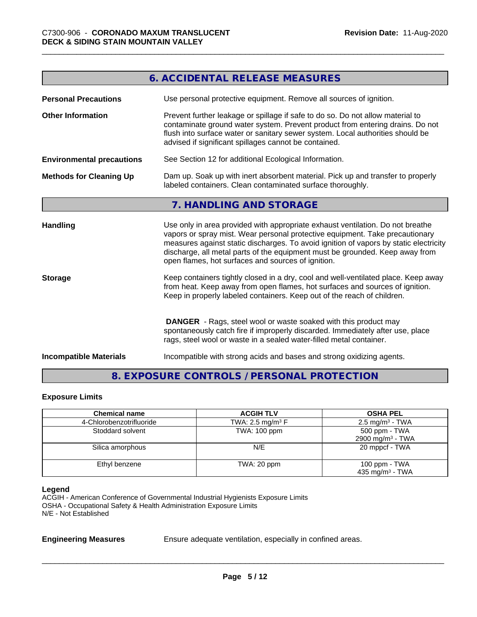| 6. ACCIDENTAL RELEASE MEASURES<br>Use personal protective equipment. Remove all sources of ignition.<br><b>Personal Precautions</b><br>Prevent further leakage or spillage if safe to do so. Do not allow material to<br>contaminate ground water system. Prevent product from entering drains. Do not<br>flush into surface water or sanitary sewer system. Local authorities should be<br>advised if significant spillages cannot be contained.<br>See Section 12 for additional Ecological Information.<br><b>Environmental precautions</b><br>Dam up. Soak up with inert absorbent material. Pick up and transfer to properly<br>labeled containers. Clean contaminated surface thoroughly.<br>7. HANDLING AND STORAGE<br><b>Handling</b><br>Use only in area provided with appropriate exhaust ventilation. Do not breathe<br>vapors or spray mist. Wear personal protective equipment. Take precautionary<br>discharge, all metal parts of the equipment must be grounded. Keep away from<br>open flames, hot surfaces and sources of ignition.<br>Keep containers tightly closed in a dry, cool and well-ventilated place. Keep away<br>from heat. Keep away from open flames, hot surfaces and sources of ignition.<br>Keep in properly labeled containers. Keep out of the reach of children.<br><b>DANGER</b> - Rags, steel wool or waste soaked with this product may<br>spontaneously catch fire if improperly discarded. Immediately after use, place<br>rags, steel wool or waste in a sealed water-filled metal container.<br>Incompatible with strong acids and bases and strong oxidizing agents. |                                |  |
|--------------------------------------------------------------------------------------------------------------------------------------------------------------------------------------------------------------------------------------------------------------------------------------------------------------------------------------------------------------------------------------------------------------------------------------------------------------------------------------------------------------------------------------------------------------------------------------------------------------------------------------------------------------------------------------------------------------------------------------------------------------------------------------------------------------------------------------------------------------------------------------------------------------------------------------------------------------------------------------------------------------------------------------------------------------------------------------------------------------------------------------------------------------------------------------------------------------------------------------------------------------------------------------------------------------------------------------------------------------------------------------------------------------------------------------------------------------------------------------------------------------------------------------------------------------------------------------------------------------------|--------------------------------|--|
|                                                                                                                                                                                                                                                                                                                                                                                                                                                                                                                                                                                                                                                                                                                                                                                                                                                                                                                                                                                                                                                                                                                                                                                                                                                                                                                                                                                                                                                                                                                                                                                                                    |                                |  |
| measures against static discharges. To avoid ignition of vapors by static electricity                                                                                                                                                                                                                                                                                                                                                                                                                                                                                                                                                                                                                                                                                                                                                                                                                                                                                                                                                                                                                                                                                                                                                                                                                                                                                                                                                                                                                                                                                                                              |                                |  |
|                                                                                                                                                                                                                                                                                                                                                                                                                                                                                                                                                                                                                                                                                                                                                                                                                                                                                                                                                                                                                                                                                                                                                                                                                                                                                                                                                                                                                                                                                                                                                                                                                    | <b>Other Information</b>       |  |
|                                                                                                                                                                                                                                                                                                                                                                                                                                                                                                                                                                                                                                                                                                                                                                                                                                                                                                                                                                                                                                                                                                                                                                                                                                                                                                                                                                                                                                                                                                                                                                                                                    |                                |  |
|                                                                                                                                                                                                                                                                                                                                                                                                                                                                                                                                                                                                                                                                                                                                                                                                                                                                                                                                                                                                                                                                                                                                                                                                                                                                                                                                                                                                                                                                                                                                                                                                                    | <b>Methods for Cleaning Up</b> |  |
|                                                                                                                                                                                                                                                                                                                                                                                                                                                                                                                                                                                                                                                                                                                                                                                                                                                                                                                                                                                                                                                                                                                                                                                                                                                                                                                                                                                                                                                                                                                                                                                                                    |                                |  |
|                                                                                                                                                                                                                                                                                                                                                                                                                                                                                                                                                                                                                                                                                                                                                                                                                                                                                                                                                                                                                                                                                                                                                                                                                                                                                                                                                                                                                                                                                                                                                                                                                    |                                |  |
|                                                                                                                                                                                                                                                                                                                                                                                                                                                                                                                                                                                                                                                                                                                                                                                                                                                                                                                                                                                                                                                                                                                                                                                                                                                                                                                                                                                                                                                                                                                                                                                                                    | <b>Storage</b>                 |  |
|                                                                                                                                                                                                                                                                                                                                                                                                                                                                                                                                                                                                                                                                                                                                                                                                                                                                                                                                                                                                                                                                                                                                                                                                                                                                                                                                                                                                                                                                                                                                                                                                                    |                                |  |
|                                                                                                                                                                                                                                                                                                                                                                                                                                                                                                                                                                                                                                                                                                                                                                                                                                                                                                                                                                                                                                                                                                                                                                                                                                                                                                                                                                                                                                                                                                                                                                                                                    | <b>Incompatible Materials</b>  |  |

### **8. EXPOSURE CONTROLS / PERSONAL PROTECTION**

#### **Exposure Limits**

| <b>Chemical name</b>     | <b>ACGIH TLV</b>               | <b>OSHA PEL</b>              |
|--------------------------|--------------------------------|------------------------------|
| 4-Chlorobenzotrifluoride | TWA: 2.5 mg/m <sup>3</sup> $F$ | $2.5 \text{ mg/m}^3$ - TWA   |
| Stoddard solvent         | <b>TWA: 100 ppm</b>            | 500 ppm - TWA                |
|                          |                                | 2900 mg/m <sup>3</sup> - TWA |
| Silica amorphous         | N/E                            | 20 mppcf - TWA               |
| Ethyl benzene            | TWA: 20 ppm                    | 100 ppm $-$ TWA              |
|                          |                                | 435 mg/m $3$ - TWA           |

#### **Legend**

ACGIH - American Conference of Governmental Industrial Hygienists Exposure Limits OSHA - Occupational Safety & Health Administration Exposure Limits N/E - Not Established

**Engineering Measures** Ensure adequate ventilation, especially in confined areas.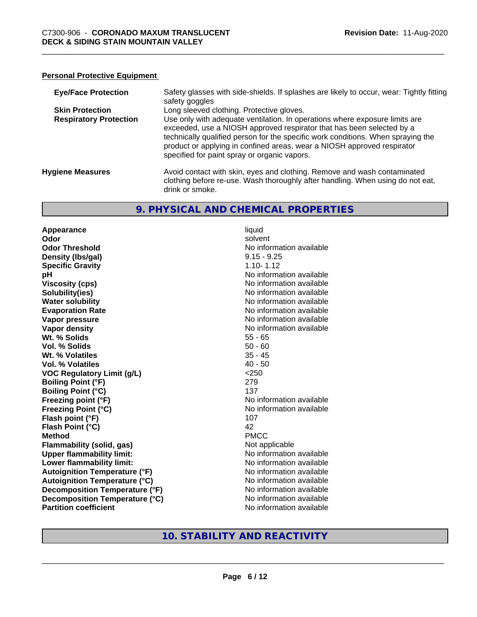#### **Personal Protective Equipment**

| <b>Eye/Face Protection</b>    | Safety glasses with side-shields. If splashes are likely to occur, wear: Tightly fitting<br>safety goggles                                                                                                                                                                                                                                                          |
|-------------------------------|---------------------------------------------------------------------------------------------------------------------------------------------------------------------------------------------------------------------------------------------------------------------------------------------------------------------------------------------------------------------|
| <b>Skin Protection</b>        | Long sleeved clothing. Protective gloves.                                                                                                                                                                                                                                                                                                                           |
| <b>Respiratory Protection</b> | Use only with adequate ventilation. In operations where exposure limits are<br>exceeded, use a NIOSH approved respirator that has been selected by a<br>technically qualified person for the specific work conditions. When spraying the<br>product or applying in confined areas, wear a NIOSH approved respirator<br>specified for paint spray or organic vapors. |
| <b>Hygiene Measures</b>       | Avoid contact with skin, eyes and clothing. Remove and wash contaminated<br>clothing before re-use. Wash thoroughly after handling. When using do not eat,<br>drink or smoke.                                                                                                                                                                                       |

#### **9. PHYSICAL AND CHEMICAL PROPERTIES**

**Appearance** liquid **Odor** solvent **Odor Threshold No information available No information available Density (Ibs/gal)** 9.15 - 9.25 **Specific Gravity** 1.10-1.12 **pH** No information available **Viscosity (cps)** No information available Notice 1 **Solubility(ies)**<br> **Solubility**<br> **Water solubility**<br> **Water solubility Evaporation Rate No information available No information available Vapor pressure** No information available **Vapor density No information available No information available Wt. % Solids** 55 - 65 **Vol. % Solids** 50 - 60 **Wt. % Volatiles** 35 - 45 **Vol. % Volatiles** 40 - 50 **VOC Regulatory Limit (g/L)** <250 **Boiling Point (°F)** 279 **Boiling Point (°C)** 137 **Freezing point (°F)** No information available **Freezing Point (°C)** The state of the Mondo No information available **Flash point (°F)** 107 **Flash Point (°C)** 42 **Method** PMCC **Flammability (solid, gas)** Not applicable **Upper flammability limit:** No information available **Lower flammability limit:**<br> **Autoignition Temperature (°F)** No information available **Autoignition Temperature (°F)**<br> **Autoignition Temperature (°C)** 
<br> **Autoignition Temperature (°C)** 
<br> **Autoignition Temperature (°C) Autoignition Temperature (°C) Decomposition Temperature (°F)** No information available **Decomposition Temperature (°C)** No information available **Partition coefficient Community Contract Contract Contract Contract Contract Contract Contract Contract Contract Contract Contract Contract Contract Contract Contract Contract Contract Contract Contract Contract Contr** 

**No information available** 

#### **10. STABILITY AND REACTIVITY**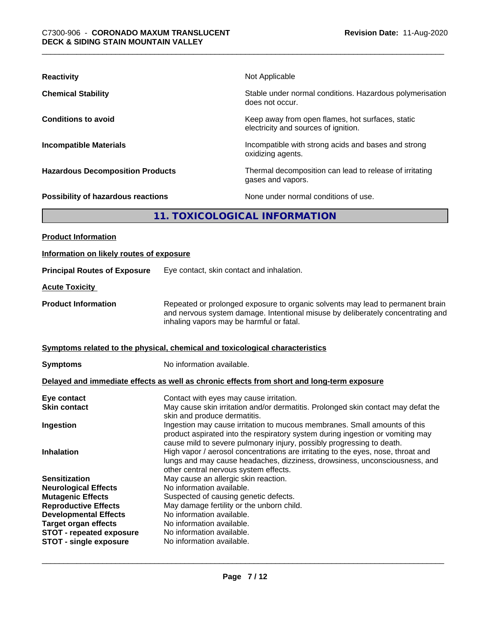| <b>Reactivity</b>                         | Not Applicable                                                                           |
|-------------------------------------------|------------------------------------------------------------------------------------------|
| <b>Chemical Stability</b>                 | Stable under normal conditions. Hazardous polymerisation<br>does not occur.              |
| <b>Conditions to avoid</b>                | Keep away from open flames, hot surfaces, static<br>electricity and sources of ignition. |
| <b>Incompatible Materials</b>             | Incompatible with strong acids and bases and strong<br>oxidizing agents.                 |
| <b>Hazardous Decomposition Products</b>   | Thermal decomposition can lead to release of irritating<br>gases and vapors.             |
| <b>Possibility of hazardous reactions</b> | None under normal conditions of use.                                                     |
|                                           | 11. TOXICOLOGICAL INFORMATION                                                            |
| <b>Product Information</b>                |                                                                                          |

| Information on likely routes of exposure                                                                                                                                                                                                          |                                                                                                                                                                                                                                                                                                                                                                                                                                                                                                                                                                        |
|---------------------------------------------------------------------------------------------------------------------------------------------------------------------------------------------------------------------------------------------------|------------------------------------------------------------------------------------------------------------------------------------------------------------------------------------------------------------------------------------------------------------------------------------------------------------------------------------------------------------------------------------------------------------------------------------------------------------------------------------------------------------------------------------------------------------------------|
| <b>Principal Routes of Exposure</b>                                                                                                                                                                                                               | Eye contact, skin contact and inhalation.                                                                                                                                                                                                                                                                                                                                                                                                                                                                                                                              |
| <b>Acute Toxicity</b>                                                                                                                                                                                                                             |                                                                                                                                                                                                                                                                                                                                                                                                                                                                                                                                                                        |
| <b>Product Information</b>                                                                                                                                                                                                                        | Repeated or prolonged exposure to organic solvents may lead to permanent brain<br>and nervous system damage. Intentional misuse by deliberately concentrating and<br>inhaling vapors may be harmful or fatal.                                                                                                                                                                                                                                                                                                                                                          |
|                                                                                                                                                                                                                                                   | Symptoms related to the physical, chemical and toxicological characteristics                                                                                                                                                                                                                                                                                                                                                                                                                                                                                           |
| <b>Symptoms</b>                                                                                                                                                                                                                                   | No information available.                                                                                                                                                                                                                                                                                                                                                                                                                                                                                                                                              |
|                                                                                                                                                                                                                                                   | Delayed and immediate effects as well as chronic effects from short and long-term exposure                                                                                                                                                                                                                                                                                                                                                                                                                                                                             |
| Eye contact<br><b>Skin contact</b><br>Ingestion<br><b>Inhalation</b>                                                                                                                                                                              | Contact with eyes may cause irritation.<br>May cause skin irritation and/or dermatitis. Prolonged skin contact may defat the<br>skin and produce dermatitis.<br>Ingestion may cause irritation to mucous membranes. Small amounts of this<br>product aspirated into the respiratory system during ingestion or vomiting may<br>cause mild to severe pulmonary injury, possibly progressing to death.<br>High vapor / aerosol concentrations are irritating to the eyes, nose, throat and<br>lungs and may cause headaches, dizziness, drowsiness, unconsciousness, and |
| <b>Sensitization</b><br><b>Neurological Effects</b><br><b>Mutagenic Effects</b><br><b>Reproductive Effects</b><br><b>Developmental Effects</b><br><b>Target organ effects</b><br><b>STOT - repeated exposure</b><br><b>STOT - single exposure</b> | other central nervous system effects.<br>May cause an allergic skin reaction.<br>No information available.<br>Suspected of causing genetic defects.<br>May damage fertility or the unborn child.<br>No information available.<br>No information available.<br>No information available.<br>No information available.                                                                                                                                                                                                                                                   |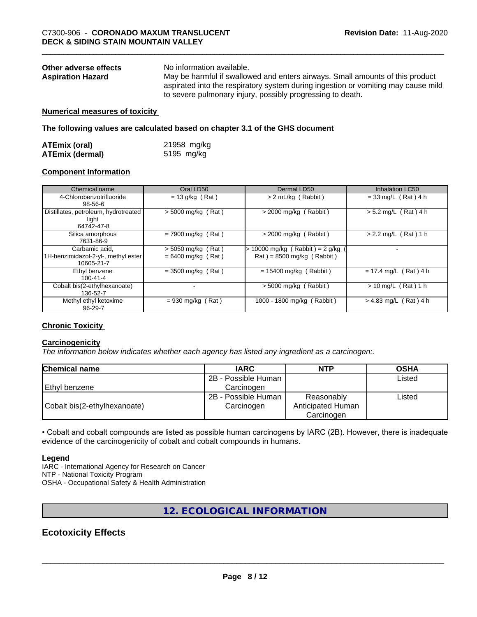| Other adverse effects    | No information available.                                                         |
|--------------------------|-----------------------------------------------------------------------------------|
| <b>Aspiration Hazard</b> | May be harmful if swallowed and enters airways. Small amounts of this product     |
|                          | aspirated into the respiratory system during ingestion or vomiting may cause mild |
|                          | to severe pulmonary injury, possibly progressing to death.                        |

#### **Numerical measures of toxicity**

**The following values are calculated based on chapter 3.1 of the GHS document**

| <b>ATEmix (oral)</b>   | 21958 mg/kg |
|------------------------|-------------|
| <b>ATEmix (dermal)</b> | 5195 mg/kg  |

#### **Component Information**

| Chemical name                                                       | Oral LD50                                  | Dermal LD50                                                      | Inhalation LC50         |
|---------------------------------------------------------------------|--------------------------------------------|------------------------------------------------------------------|-------------------------|
| 4-Chlorobenzotrifluoride<br>98-56-6                                 | $= 13$ g/kg (Rat)                          | > 2 mL/kg (Rabbit)                                               | $= 33$ mg/L (Rat) 4 h   |
| Distillates, petroleum, hydrotreated<br>light<br>64742-47-8         | $> 5000$ mg/kg (Rat)                       | > 2000 mg/kg (Rabbit)                                            | $> 5.2$ mg/L (Rat) 4 h  |
| Silica amorphous<br>7631-86-9                                       | $= 7900$ mg/kg (Rat)                       | $>$ 2000 mg/kg (Rabbit)                                          | $> 2.2$ mg/L (Rat) 1 h  |
| Carbamic acid.<br>1H-benzimidazol-2-yl-, methyl ester<br>10605-21-7 | > 5050 mg/kg (Rat)<br>$= 6400$ mg/kg (Rat) | $> 10000$ mg/kg (Rabbit) = 2 g/kg<br>$Rat$ = 8500 mg/kg (Rabbit) |                         |
| Ethyl benzene<br>$100 - 41 - 4$                                     | $=$ 3500 mg/kg (Rat)                       | $= 15400$ mg/kg (Rabbit)                                         | $= 17.4$ mg/L (Rat) 4 h |
| Cobalt bis(2-ethylhexanoate)<br>136-52-7                            |                                            | $> 5000$ mg/kg (Rabbit)                                          | $> 10$ mg/L (Rat) 1 h   |
| Methyl ethyl ketoxime<br>$96 - 29 - 7$                              | $= 930$ mg/kg (Rat)                        | 1000 - 1800 mg/kg (Rabbit)                                       | $> 4.83$ mg/L (Rat) 4 h |

#### **Chronic Toxicity**

#### **Carcinogenicity**

*The information below indicateswhether each agency has listed any ingredient as a carcinogen:.*

| <b>Chemical name</b>         | <b>IARC</b>         | <b>NTP</b>        | <b>OSHA</b> |  |
|------------------------------|---------------------|-------------------|-------------|--|
|                              | 2B - Possible Human |                   | Listed      |  |
| l Ethvl benzene              | Carcinogen          |                   |             |  |
|                              | 2B - Possible Human | Reasonably        | Listed      |  |
| Cobalt bis(2-ethylhexanoate) | Carcinogen          | Anticipated Human |             |  |
|                              |                     | Carcinogen        |             |  |

• Cobalt and cobalt compounds are listed as possible human carcinogens by IARC (2B). However, there is inadequate evidence of the carcinogenicity of cobalt and cobalt compounds in humans.

#### **Legend**

IARC - International Agency for Research on Cancer NTP - National Toxicity Program OSHA - Occupational Safety & Health Administration

#### **12. ECOLOGICAL INFORMATION**

#### **Ecotoxicity Effects**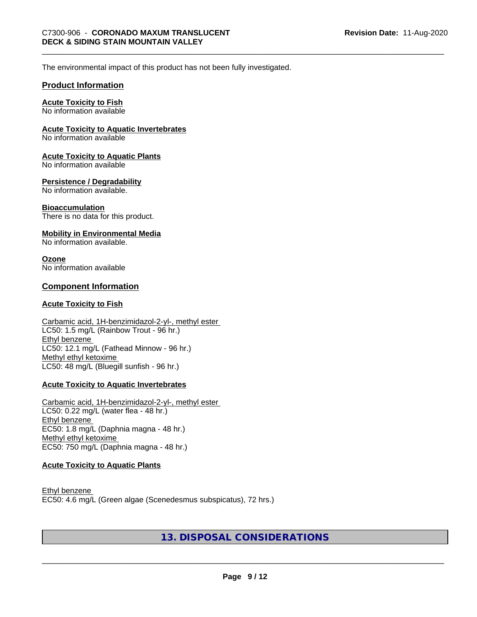The environmental impact of this product has not been fully investigated.

#### **Product Information**

#### **Acute Toxicity to Fish**

No information available

#### **Acute Toxicity to Aquatic Invertebrates**

No information available

#### **Acute Toxicity to Aquatic Plants**

No information available

#### **Persistence / Degradability**

No information available.

#### **Bioaccumulation**

There is no data for this product.

#### **Mobility in Environmental Media**

No information available.

#### **Ozone**

No information available

#### **Component Information**

#### **Acute Toxicity to Fish**

#### Carbamic acid, 1H-benzimidazol-2-yl-, methyl ester LC50: 1.5 mg/L (Rainbow Trout - 96 hr.) Ethyl benzene LC50: 12.1 mg/L (Fathead Minnow - 96 hr.) Methyl ethyl ketoxime LC50: 48 mg/L (Bluegill sunfish - 96 hr.)

#### **Acute Toxicity to Aquatic Invertebrates**

Carbamic acid, 1H-benzimidazol-2-yl-, methyl ester LC50: 0.22 mg/L (water flea - 48 hr.) Ethyl benzene EC50: 1.8 mg/L (Daphnia magna - 48 hr.) Methyl ethyl ketoxime EC50: 750 mg/L (Daphnia magna - 48 hr.)

#### **Acute Toxicity to Aquatic Plants**

Ethyl benzene EC50: 4.6 mg/L (Green algae (Scenedesmus subspicatus), 72 hrs.)

#### **13. DISPOSAL CONSIDERATIONS**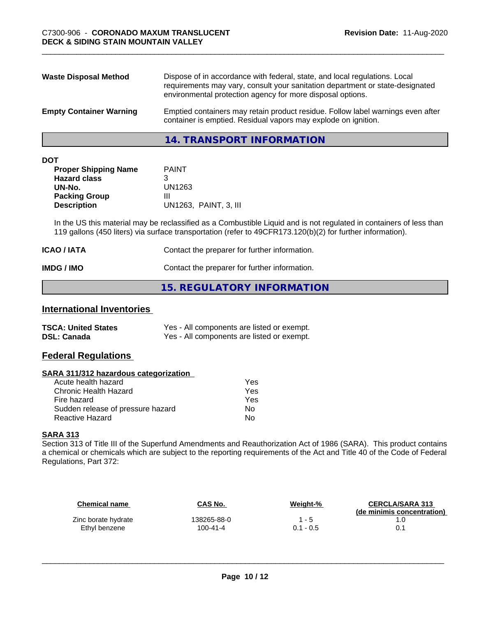| <b>Waste Disposal Method</b>   | Dispose of in accordance with federal, state, and local regulations. Local<br>requirements may vary, consult your sanitation department or state-designated<br>environmental protection agency for more disposal options. |
|--------------------------------|---------------------------------------------------------------------------------------------------------------------------------------------------------------------------------------------------------------------------|
| <b>Empty Container Warning</b> | Emptied containers may retain product residue. Follow label warnings even after<br>container is emptied. Residual vapors may explode on ignition.                                                                         |

**14. TRANSPORT INFORMATION**

| ۰. | ×<br>×<br>٠ |  |
|----|-------------|--|

| DOT                         |                       |  |
|-----------------------------|-----------------------|--|
| <b>Proper Shipping Name</b> | <b>PAINT</b>          |  |
| <b>Hazard class</b>         | 3                     |  |
| UN-No.                      | UN1263                |  |
| <b>Packing Group</b>        | Ш                     |  |
| <b>Description</b>          | UN1263, PAINT, 3, III |  |
|                             |                       |  |

In the US this material may be reclassified as a Combustible Liquid and is not regulated in containers of less than 119 gallons (450 liters) via surface transportation (refer to 49CFR173.120(b)(2) for further information).

| <b>ICAO / IATA</b> | Contact the preparer for further information. |
|--------------------|-----------------------------------------------|
| IMDG / IMO         | Contact the preparer for further information. |

#### **15. REGULATORY INFORMATION**

#### **International Inventories**

| <b>TSCA: United States</b> | Yes - All components are listed or exempt. |
|----------------------------|--------------------------------------------|
| <b>DSL: Canada</b>         | Yes - All components are listed or exempt. |

#### **Federal Regulations**

#### **SARA 311/312 hazardous categorization**

| Yes |
|-----|
| Yes |
| Yes |
| Nο  |
| N٥  |
|     |

#### **SARA 313**

Section 313 of Title III of the Superfund Amendments and Reauthorization Act of 1986 (SARA). This product contains a chemical or chemicals which are subject to the reporting requirements of the Act and Title 40 of the Code of Federal Regulations, Part 372:

| Chemical name       | CAS No.     | Weight-%    | <b>CERCLA/SARA 313</b><br>(de minimis concentration) |
|---------------------|-------------|-------------|------------------------------------------------------|
| Zinc borate hydrate | 138265-88-0 | $1 - 5$     |                                                      |
| Ethyl benzene       | 100-41-4    | $0.1 - 0.5$ |                                                      |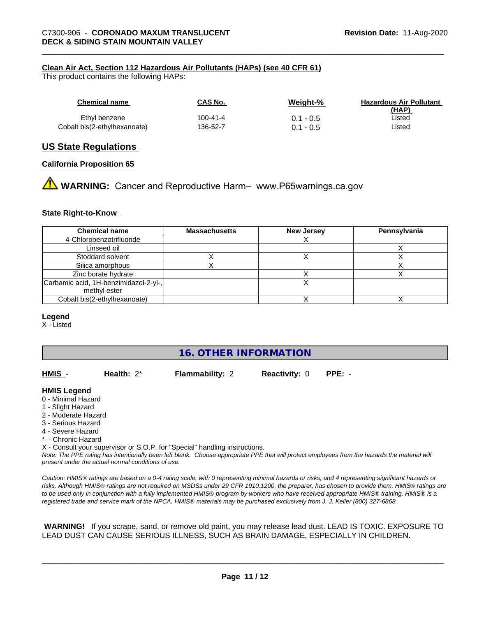#### **Clean Air Act,Section 112 Hazardous Air Pollutants (HAPs) (see 40 CFR 61)**

This product contains the following HAPs:

| Chemical name                | CAS No.  | Weight-%    | <b>Hazardous Air Pollutant</b><br>(HAP) |
|------------------------------|----------|-------------|-----------------------------------------|
| Ethyl benzene                | 100-41-4 | $0.1 - 0.5$ | ∟isted                                  |
| Cobalt bis(2-ethylhexanoate) | 136-52-7 | $0.1 - 0.5$ | Listed                                  |

#### **US State Regulations**

#### **California Proposition 65**

**AN** WARNING: Cancer and Reproductive Harm– www.P65warnings.ca.gov

#### **State Right-to-Know**

| <b>Chemical name</b>                  | <b>Massachusetts</b> | <b>New Jersey</b> | Pennsylvania |
|---------------------------------------|----------------------|-------------------|--------------|
| 4-Chlorobenzotrifluoride              |                      |                   |              |
| Linseed oil                           |                      |                   |              |
| Stoddard solvent                      |                      |                   |              |
| Silica amorphous                      |                      |                   |              |
| Zinc borate hydrate                   |                      |                   |              |
| Carbamic acid, 1H-benzimidazol-2-yl-, |                      |                   |              |
| methyl ester                          |                      |                   |              |
| Cobalt bis(2-ethylhexanoate)          |                      |                   |              |

#### **Legend**

X - Listed

#### **16. OTHER INFORMATION**

**HMIS** - **Health:** 2\* **Flammability:** 2 **Reactivity:** 0 **PPE:** -

#### **HMIS Legend**

- 0 Minimal Hazard
- 1 Slight Hazard
- 2 Moderate Hazard
- 3 Serious Hazard
- 4 Severe Hazard
- \* Chronic Hazard

X - Consult your supervisor or S.O.P. for "Special" handling instructions.

*Note: The PPE rating has intentionally been left blank. Choose appropriate PPE that will protect employees from the hazards the material will present under the actual normal conditions of use.*

*Caution: HMISÒ ratings are based on a 0-4 rating scale, with 0 representing minimal hazards or risks, and 4 representing significant hazards or risks. Although HMISÒ ratings are not required on MSDSs under 29 CFR 1910.1200, the preparer, has chosen to provide them. HMISÒ ratings are to be used only in conjunction with a fully implemented HMISÒ program by workers who have received appropriate HMISÒ training. HMISÒ is a registered trade and service mark of the NPCA. HMISÒ materials may be purchased exclusively from J. J. Keller (800) 327-6868.*

 **WARNING!** If you scrape, sand, or remove old paint, you may release lead dust. LEAD IS TOXIC. EXPOSURE TO LEAD DUST CAN CAUSE SERIOUS ILLNESS, SUCH AS BRAIN DAMAGE, ESPECIALLY IN CHILDREN.